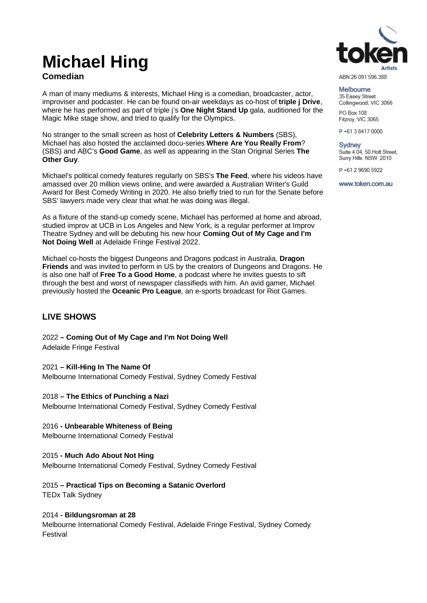# **Michael Hing**

# **Comedian**

A man of many mediums & interests, Michael Hing is a comedian, broadcaster, actor, improviser and podcaster. He can be found on-air weekdays as co-host of **triple j Drive**, where he has performed as part of triple j's **One Night Stand Up** gala, auditioned for the Magic Mike stage show, and tried to qualify for the Olympics.

No stranger to the small screen as host of **Celebrity Letters & Numbers** (SBS), Michael has also hosted the acclaimed docu-series **Where Are You Really From**? (SBS) and ABC's **Good Game**, as well as appearing in the Stan Original Series **The Other Guy**.

Michael's political comedy features regularly on SBS's **The Feed**, where his videos have amassed over 20 million views online, and were awarded a Australian Writer's Guild Award for Best Comedy Writing in 2020. He also briefly tried to run for the Senate before SBS' lawyers made very clear that what he was doing was illegal.

As a fixture of the stand-up comedy scene, Michael has performed at home and abroad, studied improv at UCB in Los Angeles and New York, is a regular performer at Improv Theatre Sydney and will be debuting his new hour **Coming Out of My Cage and I'm Not Doing Well** at Adelaide Fringe Festival 2022.

Michael co-hosts the biggest Dungeons and Dragons podcast in Australia, **Dragon Friends** and was invited to perform in US by the creators of Dungeons and Dragons. He is also one half of **Free To a Good Home**, a podcast where he invites guests to sift through the best and worst of newspaper classifieds with him. An avid gamer, Michael previously hosted the **Oceanic Pro League**, an e-sports broadcast for Riot Games.

# **LIVE SHOWS**

2022 **– Coming Out of My Cage and I'm Not Doing Well** Adelaide Fringe Festival

2021 **– Kill-Hing In The Name Of** Melbourne International Comedy Festival, Sydney Comedy Festival

2018 **– The Ethics of Punching a Nazi** Melbourne International Comedy Festival, Sydney Comedy Festival

# 2016 **- Unbearable Whiteness of Being**

Melbourne International Comedy Festival

### 2015 **- Much Ado About Not Hing**

Melbourne International Comedy Festival, Sydney Comedy Festival

2015 **– Practical Tips on Becoming a Satanic Overlord**  TEDx Talk Sydney

# 2014 **- Bildungsroman at 28**

Melbourne International Comedy Festival, Adelaide Fringe Festival, Sydney Comedy Festival



ABN 26 091 596 388

Melhourne 35 Easey Street Collingwood, VIC 3066

PO Box 108 Fitzroy, VIC 3065

P+61384170000

**Sydney** Suite 4.04, 50 Holt Street, Surry Hills NSW 2010

P+61 2 9690 5922

www.token.com.au